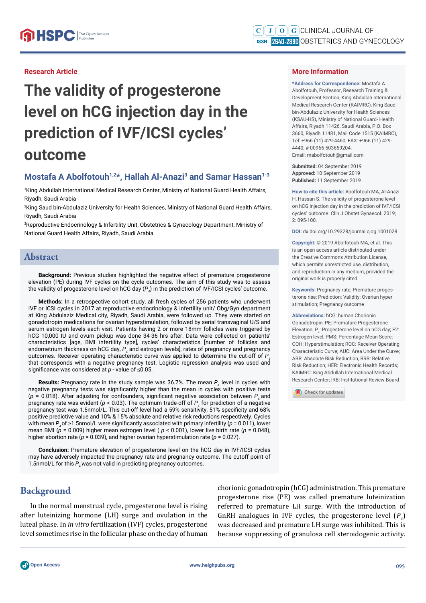### **Research Article**

# **The validity of progesterone level on hCG injection day in the prediction of IVF/ICSI cycles' outcome**

# **Mostafa A Abolfotouh1,2\*, Hallah Al-Anazi3 and Samar Hassan1-3**

1 King Abdullah International Medical Research Center, Ministry of National Guard Health Affairs, Riyadh, Saudi Arabia

2 King Saud bin-Abdulaziz University for Health Sciences, Ministry of National Guard Health Affairs, Riyadh, Saudi Arabia

3 Reproductive Endocrinology & Infertility Unit, Obstetrics & Gynecology Department, Ministry of National Guard Health Affairs, Riyadh, Saudi Arabia

#### **Abstract**

**Background:** Previous studies highlighted the negative effect of premature progesterone elevation (PE) during IVF cycles on the cycle outcomes. The aim of this study was to assess the validity of progesterone level on hCG day  $(P_{4})$  in the prediction of IVF/ICSI cycles' outcome.

**Methods:** In a retrospective cohort study, all fresh cycles of 256 patients who underwent IVF or ICSI cycles in 2017 at reproductive endocrinology & infertility unit/ Obg/Gyn department at King Abdulaziz Medical city, Riyadh, Saudi Arabia, were followed up. They were started on gonadotropin medications for ovarian hyperstimulation, followed by serial transvaginal U/S and serum estrogen levels each visit. Patients having 2 or more 18mm follicles were triggered by hCG 10,000 IU and ovum pickup was done 34-36 hrs after. Data were collected on patients' characteristics [age, BMI infertility type], cycles' characteristics [number of follicles and endometrium thickness on hCG day,  $P_{_4}$  and estrogen levels], rates of pregnancy and pregnancy outcomes. Receiver operating characteristic curve was applied to determine the cut-off of  $P_A$ that corresponds with a negative pregnancy test. Logistic regression analysis was used and significance was considered at *p* - value of ≤0.05.

**Results:** Pregnancy rate in the study sample was 36.7%. The mean  $P_4$  level in cycles with negative pregnancy tests was significantly higher than the mean in cycles with positive tests  $(p = 0.018)$ . After adjusting for confounders, significant negative association between  $P<sub>4</sub>$  and pregnancy rate was evident (*p* < 0.03). The optimum trade-off of  $P_4$  for prediction of a negative pregnancy test was 1.5nmol/L. This cut-off level had a 59% sensitivity, 51% specificity and 68% positive predictive value and 10% & 15% absolute and relative risk reductions respectively. Cycles with mean  $P_{\text{A}}$  of  $\geq$ 1.5nmol/L were significantly associated with primary infertility ( $p = 0.011$ ), lower mean BMI (*p* = 0.009) higher mean estrogen level ( *p* < 0.001), lower live birth rate (*p* = 0.048), higher abortion rate ( $p = 0.039$ ), and higher ovarian hyperstimulation rate ( $p = 0.027$ ).

**Conclusion:** Premature elevation of progesterone level on the hCG day in IVF/ICSI cycles may have adversely impacted the pregnancy rate and pregnancy outcome. The cutoff point of 1.5nmol/L for this  $P_4$  was not valid in predicting pregnancy outcomes.

# **Background**

In the normal menstrual cycle, progesterone level is rising after luteinizing hormone (LH) surge and ovulation in the luteal phase. In *in vitro* fertilization (IVF) cycles, progesterone level sometimes rise in the follicular phase on the day of human chorionic gonadotropin (hCG) administration. This premature progesterone rise (PE) was called premature luteinization referred to premature LH surge. With the introduction of GnRH analogues in IVF cycles, the progesterone level  $(P_4)$ was decreased and premature LH surge was inhibited. This is because suppressing of granulosa cell steroidogenic activity.

**\*Address for Correspondence:** Mostafa A Abolfotouh, Professor, Research Training & Development Section, King Abdullah International Medical Research Center (KAIMRC), King Saud bin-Abdulaziz University for Health Sciences (KSAU-HS), Ministry of National Guard- Health Affairs, Riyadh 11426, Saudi Arabia, P.O. Box 3660, Riyadh 11481, Mail Code 1515 (KAIMRC), Tel: +966 (11) 429-4460; FAX: +966 (11) 429- 4440; # 00966 503659204; Email: mabolfotouh@gmail.com

**Submitted:** 04 September 2019 **Approved:** 10 September 2019 **Published:** 11 September 2019

**How to cite this article:** Abolfotouh MA, Al-Anazi H, Hassan S. The validity of progesterone level on hCG injection day in the prediction of IVF/ICSI cycles' outcome. Clin J Obstet Gynaecol. 2019; 2: 095-100.

**DOI:** dx.doi.org/10.29328/journal.cjog.1001028

**Copyright: ©** 2019 Abolfotouh MA, et al. This is an open access article distributed under the Creative Commons Attribution License, which permits unrestricted use, distribution, and reproduction in any medium, provided the original work is properly cited

**Keywords:** Pregnancy rate; Premature progesterone rise; Prediction: Validity; Ovarian hyper stimulation; Pregnancy outcome

**Abbreviations:** hCG: human Chorionic Gonadotropin; PE: Premature Progesterone Elevation;  $P_4$ : Progesterone level on hCG day; E2: Estrogen level, PMS: Percentage Mean Score; COH: Hyperstimulation; ROC: Receiver Operating Characteristic Curve; AUC: Area Under the Curve; ARR: Absolute Risk Reduction, RRR: Relative Risk Reduction; HER: Electronic Health Records; KAIMRC: King Abdullah International Medical Research Center; IRB: Institutional Review Board

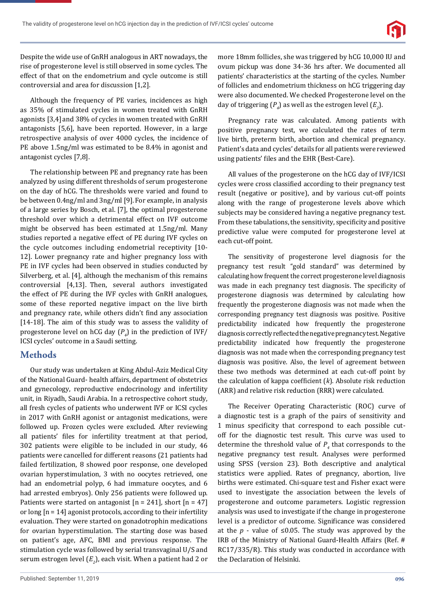

Despite the wide use of GnRH analogous in ART nowadays, the rise of progesterone level is still observed in some cycles. The effect of that on the endometrium and cycle outcome is still controversial and area for discussion [1,2].

Although the frequency of PE varies, incidences as high as 35% of stimulated cycles in women treated with GnRH agonists [3,4] and 38% of cycles in women treated with GnRH antagonists [5,6], have been reported. However, in a large retrospective analysis of over 4000 cycles, the incidence of PE above 1.5ng/ml was estimated to be 8.4% in agonist and antagonist cycles [7,8].

The relationship between PE and pregnancy rate has been analyzed by using different thresholds of serum progesterone on the day of hCG. The thresholds were varied and found to be between 0.4ng/ml and 3ng/ml [9].For example, in analysis of a large series by Bosch, et al. [7], the optimal progesterone threshold over which a detrimental effect on IVF outcome might be observed has been estimated at 1.5ng/ml. Many studies reported a negative effect of PE during IVF cycles on the cycle outcomes including endometrial receptivity [10- 12]. Lower pregnancy rate and higher pregnancy loss with PE in IVF cycles had been observed in studies conducted by Silverberg, et al. [4], although the mechanism of this remains controversial [4,13]. Then, several authors investigated the effect of PE during the IVF cycles with GnRH analogues, some of these reported negative impact on the live birth and pregnancy rate, while others didn't find any association  $[14-18]$ . The aim of this study was to assess the validity of progesterone level on hCG day (*P4* ) in the prediction of IVF/ ICSI cycles' outcome in a Saudi setting.

## **Methods**

Our study was undertaken at King Abdul-Aziz Medical City of the National Guard- health affairs, department of obstetrics and gynecology, reproductive endocrinology and infertility unit, in Riyadh, Saudi Arabia. In a retrospective cohort study, all fresh cycles of patients who underwent IVF or ICSI cycles in 2017 with GnRH agonist or antagonist medications, were followed up. Frozen cycles were excluded. After reviewing all patients' files for infertility treatment at that period, 302 patients were eligible to be included in our study, 46 patients were cancelled for different reasons (21 patients had failed fertilization, 8 showed poor response, one developed ovarian hyperstimulation, 3 with no oocytes retrieved, one had an endometrial polyp, 6 had immature oocytes, and 6 had arrested embryos). Only 256 patients were followed up. Patients were started on antagonist  $[n = 241]$ , short  $[n = 47]$ or long [n = 14] agonist protocols, according to their infertility evaluation. They were started on gonadotrophin medications for ovarian hyperstimulation. The starting dose was based on patient's age, AFC, BMI and previous response. The stimulation cycle was followed by serial transvaginal U/S and serum estrogen level ( $E_{2}$ ), each visit. When a patient had 2 or more 18mm follicles, she was triggered by hCG 10,000 IU and ovum pickup was done 34-36 hrs after. We documented all patients' characteristics at the starting of the cycles. Number of follicles and endometrium thickness on hCG triggering day were also documented. We checked Progesterone level on the day of triggering  $(P_4)$  as well as the estrogen level  $(E_2)$ .

Pregnancy rate was calculated. Among patients with positive pregnancy test, we calculated the rates of term live birth, preterm birth, abortion and chemical pregnancy. Patient's data and cycles' details for all patients were reviewed using patients' files and the EHR (Best-Care).

All values of the progesterone on the hCG day of IVF/ICSI cycles were cross classified according to their pregnancy test result (negative or positive), and by various cut-off points along with the range of progesterone levels above which subjects may be considered having a negative pregnancy test. From these tabulations, the sensitivity, specificity and positive predictive value were computed for progesterone level at each cut-off point.

The sensitivity of progesterone level diagnosis for the pregnancy test result "gold standard" was determined by calculating how frequent the correct progesterone level diagnosis was made in each pregnancy test diagnosis. The specificity of progesterone diagnosis was determined by calculating how frequently the progesterone diagnosis was not made when the corresponding pregnancy test diagnosis was positive. Positive predictability indicated how frequently the progesterone diagnosis correctly reflected the negative pregnancy test. Negative predictability indicated how frequently the progesterone diagnosis was not made when the corresponding pregnancy test diagnosis was positive. Also, the level of agreement between these two methods was determined at each cut-off point by the calculation of kappa coefficient (k). Absolute risk reduction (ARR) and relative risk reduction (RRR) were calculated.

The Receiver Operating Characteristic (ROC) curve of a diagnostic test is a graph of the pairs of sensitivity and 1 minus specificity that correspond to each possible cutoff for the diagnostic test result. This curve was used to determine the threshold value of  $P_4$  that corresponds to the negative pregnancy test result. Analyses were performed using SPSS (version 23). Both descriptive and analytical statistics were applied. Rates of pregnancy, abortion, live births were estimated. Chi-square test and Fisher exact were used to investigate the association between the levels of progesterone and outcome parameters. Logistic regression analysis was used to investigate if the change in progesterone level is a predictor of outcome. Significance was considered at the  $p$  - value of  $\leq 0.05$ . The study was approved by the IRB of the Ministry of National Guard-Health Affairs (Ref. # RC17/335/R). This study was conducted in accordance with the Declaration of Helsinki.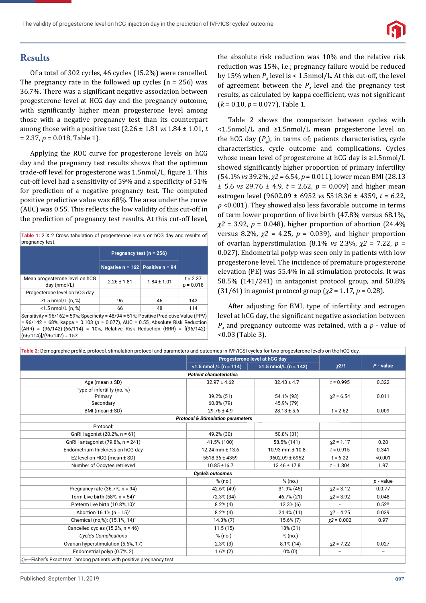

# **Results**

Of a total of 302 cycles, 46 cycles (15.2%) were cancelled. The pregnancy rate in the followed up cycles  $(n = 256)$  was 36.7%. There was a significant negative association between progesterone level at HCG day and the pregnancy outcome, with significantly higher mean progesterone level among those with a negative pregnancy test than its counterpart among those with a positive test (2.26 ± 1.81 *vs* 1.84 ± 1.01, *t* = 2.37, *p* = 0.018, Table 1).

Applying the ROC curve for progesterone levels on hCG day and the pregnancy test results shows that the optimum trade-off level for progesterone was 1.5nmol/L, figure 1. This cut-off level had a sensitivity of 59% and a specificity of 51% for prediction of a negative pregnancy test. The computed positive predictive value was 68%. The area under the curve (AUC) was 0.55. This reflects the low validity of this cut-off in the prediction of pregnancy test results. At this cut-off level,

| Table 1: 2 X 2 Cross tabulation of progesterone levels on hCG day and results of |  |  |  |  |  |  |
|----------------------------------------------------------------------------------|--|--|--|--|--|--|
| pregnancy test.                                                                  |  |  |  |  |  |  |

|                                                                                            | Pregnancy test $(n = 256)$           |                 |                           |  |  |
|--------------------------------------------------------------------------------------------|--------------------------------------|-----------------|---------------------------|--|--|
|                                                                                            | Negative $n = 162$ Positive $n = 94$ |                 |                           |  |  |
| Mean progesterone level on hCG<br>day (nmol/L)                                             | $2.26 \pm 1.81$                      | $1.84 \pm 1.01$ | $t = 2.37$<br>$p = 0.018$ |  |  |
| Progesterone level on hCG day                                                              |                                      |                 |                           |  |  |
| ≥1.5 nmol/L (n, %)                                                                         | 96                                   | 46              | 142                       |  |  |
| $<$ 1.5 nmol/L $(n, %)$                                                                    | 66                                   | 48              | 114                       |  |  |
| Sensitivity = $96/162$ = 59%; Specificity = $48/94$ = 51%; Positive Predictive Value (PPV) |                                      |                 |                           |  |  |

= 96/142 = 68%, kappa = 0.103 (*p* = 0.077), AUC = 0.55, Absolute Risk Reduction (ARR) = (96/142)-(66/114) = 10%, Relative Risk Reduction (RRR) = [(96/142)-  $(66/114)$ ]/(96/142) = 15%.

the absolute risk reduction was 10% and the relative risk reduction was 15%, i.e.; pregnancy failure would be reduced by 15% when  $P_4$  level is < 1.5nmol/L. At this cut-off, the level of agreement between the  $P_4$  level and the pregnancy test results, as calculated by kappa coefficient, was not significant (*k* = 0.10, *p* = 0.077), Table 1.

Table 2 shows the comparison between cycles with <1.5nmol/L and ≥1.5nmol/L mean progesterone level on the hCG day  $(P_4)$ , in terms of; patients characteristics, cycle characteristics, cycle outcome and complications. Cycles whose mean level of progesterone at hCG day is ≥1.5nmol/L showed significantly higher proportion of primary infertility (54.1% *vs* 39.2%, *χ2* = 6.54, *p* = 0.011), lower mean BMI (28.13  $\pm$  5.6 *vs* 29.76  $\pm$  4.9, *t* = 2.62, *p* = 0.009) and higher mean estrogen level (9602.09 ± 6952 *vs* 5518.36 ± 4359, *t* = 6.22, *p* <0.001). They showed also less favorable outcome in terms of term lower proportion of live birth (47.8% versus 68.1%, *χ2* = 3.92, *p* = 0.048), higher proportion of abortion (24.4% versus 8.2%,  $\chi$ <sup>2</sup> = 4.25,  $p$  = 0.039), and higher proportion of ovarian hyperstimulation (8.1% *vs* 2.3%, *χ2* = 7.22, *p* = 0.027). Endometrial polyp was seen only in patients with low progesterone level. The incidence of premature progesterone elevation (PE) was 55.4% in all stimulation protocols. It was 58.5% (141/241) in antagonist protocol group, and 50.8% (31/61) in agonist protocol group (*χ2* = 1.17, *p* = 0.28).

After adjusting for BMI, type of infertility and estrogen level at hCG day, the significant negative association between *P4* and pregnancy outcome was retained, with a *p* - value of <0.03 (Table 3).

| Table 2: Demographic profile, protocol, stimulation protocol and parameters and outcomes in IVF/ICSI cycles for two progesterone levels on the hCG day. |                                              |                               |               |                          |
|---------------------------------------------------------------------------------------------------------------------------------------------------------|----------------------------------------------|-------------------------------|---------------|--------------------------|
|                                                                                                                                                         |                                              | Progesterone level at hCG day |               |                          |
|                                                                                                                                                         | $<$ 1.5 nmol /L (n = 114)                    | ≥1.5 nmol/L (n = 142)         | $x^2/t$       | $P - value$              |
|                                                                                                                                                         | <b>Patient characteristics</b>               |                               |               |                          |
| Age (mean $\pm$ SD)                                                                                                                                     | $32.97 \pm 4.62$                             | $32.43 \pm 4.7$               | $t = 0.995$   | 0.322                    |
| Type of infertility (no, %)                                                                                                                             |                                              |                               |               |                          |
| Primary                                                                                                                                                 | 39.2% (51)                                   | 54.1% (93)                    | $x^2 = 6.54$  | 0.011                    |
| Secondary                                                                                                                                               | 60.8% (79)                                   | 45.9% (79)                    |               |                          |
| BMI (mean ± SD)                                                                                                                                         | $29.76 \pm 4.9$                              | $28.13 \pm 5.6$               | $t = 2.62$    | 0.009                    |
|                                                                                                                                                         | <b>Protocol &amp; Stimulation parameters</b> |                               |               |                          |
| Protocol:                                                                                                                                               |                                              |                               |               |                          |
| GnRH agonist (20.2%, n = 61)                                                                                                                            | 49.2% (30)                                   | 50.8% (31)                    |               |                          |
| GnRH antagonist (79.8%, n = 241)                                                                                                                        | 41.5% (100)                                  | 58.5% (141)                   | $x^2 = 1.17$  | 0.28                     |
| Endometrium thickness on hCG day                                                                                                                        | $12.24$ mm $\pm$ 13.6                        | $10.93$ mm $\pm$ 10.8         | $t = 0.915$   | 0.341                    |
| E2 level on HCG (mean ± SD)                                                                                                                             | 5518.36 ± 4359                               | $9602.09 \pm 6952$            | $t = 6.22$    | < 0.001                  |
| Number of Oocytes retrieved                                                                                                                             | $10.85 \pm 16.7$                             | $13.46 \pm 17.8$              | $t = 1.304$   | 1.97                     |
|                                                                                                                                                         | <b>Cycle's outcomes</b>                      |                               |               |                          |
|                                                                                                                                                         | % (no.)                                      | % (no.)                       |               | $p$ - value              |
| Pregnancy rate $(36.7\% , n = 94)$                                                                                                                      | 42.6% (49)                                   | 31.9% (45)                    | $x^2 = 3.12$  | 0.0.77                   |
| Term Live birth (58%, $n = 54$ )*                                                                                                                       | 72.3% (34)                                   | 46.7% (21)                    | $x^2 = 3.92$  | 0.048                    |
| Preterm live birth (10.8%,10)*                                                                                                                          | $8.2\%$ (4)                                  | $13.3\%$ (6)                  |               | $0.52^{\circ}$           |
| Abortion 16.1% (n = 15)*                                                                                                                                | $8.2\%$ (4)                                  | 24.4% (11)                    | $x2 = 4.25$   | 0.039                    |
| Chemical (no.%): (15.1%, 14)*                                                                                                                           | $14.3\%$ $(7)$                               | $15.6\% (7)$                  | $x^2 = 0.002$ | 0.97                     |
| Cancelled cycles $(15.2\% , n = 46)$                                                                                                                    | 11.5(15)                                     | 18% (31)                      |               |                          |
| <b>Cycle's Complications</b>                                                                                                                            | % (no.)                                      | % (no.)                       |               |                          |
| Ovarian hyperstimulation (5.6%, 17)                                                                                                                     | $2.3\%$ (3)                                  | $8.1\%$ (14)                  | $x^2 = 7.22$  | 0.027                    |
| Endometrial polyp (0.7%, 2)                                                                                                                             | $1.6\%(2)$                                   | $0\%$ (0)                     |               | $\overline{\phantom{a}}$ |
| @---Fisher's Exact test. *among patients with positive pregnancy test                                                                                   |                                              |                               |               |                          |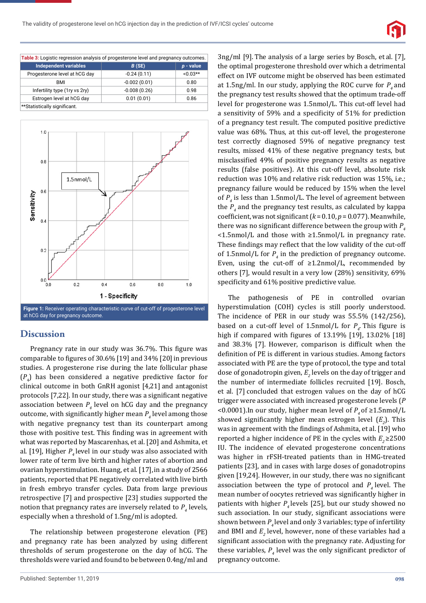

| Table 3: Logistic regression analysis of progesterone level and pregnancy outcomes. |                |             |  |  |  |
|-------------------------------------------------------------------------------------|----------------|-------------|--|--|--|
| <b>Independent variables</b>                                                        | B(SE)          | $p - value$ |  |  |  |
| Progesterone level at hCG day                                                       | $-0.24(0.11)$  | $<0.03**$   |  |  |  |
| BMI                                                                                 | $-0.002(0.01)$ | 0.80        |  |  |  |
| Infertility type (1ry vs 2ry)                                                       | $-0.008(0.26)$ | 0.98        |  |  |  |
| Estrogen level at hCG day                                                           | 0.01(0.01)     | 0.86        |  |  |  |
| **Statistically significant.                                                        |                |             |  |  |  |



## **Discussion**

Pregnancy rate in our study was 36.7%. This figure was comparable to figures of 30.6% [19] and 34% [20] in previous studies. A progesterone rise during the late follicular phase (*P*<sup>4</sup> ) has been considered a negative predictive factor for clinical outcome in both GnRH agonist [4,21] and antagonist protocols [7,22]. In our study, there was a significant negative association between  $P_4$  level on hCG day and the pregnancy outcome, with significantly higher mean  $P_4$  level among those with negative pregnancy test than its counterpart among those with positive test. This finding was in agreement with what was reported by Mascarenhas, et al. [20] and Ashmita, et al. [19], Higher  $P_{\mu}$  level in our study was also associated with lower rate of term live birth and higher rates of abortion and ovarian hyperstimulation. Huang, et al. [17], in a study of 2566 patients, reported that PE negatively correlated with live birth in fresh embryo transfer cycles. Data from large previous retrospective [7] and prospective [23] studies supported the notion that pregnancy rates are inversely related to  $P_4$  levels, especially when a threshold of 1.5ng/ml is adopted.

The relationship between progesterone elevation (PE) and pregnancy rate has been analyzed by using different thresholds of serum progesterone on the day of hCG. The thresholds were varied and found to be between 0.4ng/ml and

3ng/ml [9]. The analysis of a large series by Bosch, et al. [7], the optimal progesterone threshold over which a detrimental effect on IVF outcome might be observed has been estimated at 1.5ng/ml. In our study, applying the ROC curve for  $P_4$  and the pregnancy test results showed that the optimum trade-off level for progesterone was 1.5nmol/L. This cut-off level had a sensitivity of 59% and a specificity of 51% for prediction of a pregnancy test result. The computed positive predictive value was 68%. Thus, at this cut-off level, the progesterone test correctly diagnosed 59% of negative pregnancy test results, missed 41% of these negative pregnancy tests, but misclassified 49% of positive pregnancy results as negative results (false positives). At this cut-off level, absolute risk reduction was 10% and relative risk reduction was 15%, i.e.; pregnancy failure would be reduced by 15% when the level of *P4* is less than 1.5nmol/L. The level of agreement between the  $P_4$  and the pregnancy test results, as calculated by kappa coefficient, was not significant  $(k = 0.10, p = 0.077)$ . Meanwhile, there was no significant difference between the group with  $P_{4}$ <1.5nmol/L and those with ≥1.5nmol/L in pregnancy rate. These findings may reflect that the low validity of the cut-off of 1.5nmol/L for  $P_4$  in the prediction of pregnancy outcome. Even, using the cut-off of ≥1.2nmol/L, recommended by others [7], would result in a very low (28%) sensitivity, 69% specificity and 61% positive predictive value.

The pathogenesis of PE in controlled ovarian hyperstimulation (COH) cycles is still poorly understood. The incidence of PER in our study was 55.5% (142/256), based on a cut-off level of 1.5nmol/L for  $P_4$ . This figure is high if compared with figures of  $13.19\%$  [19],  $13.02\%$  [18] and  $38.3\%$  [7]. However, comparison is difficult when the definition of PE is different in various studies. Among factors associated with PE are the type of protocol, the type and total dose of gonadotropin given,  $E_{_2}$  levels on the day of trigger and the number of intermediate follicles recruited [19]. Bosch, et al. [7] concluded that estrogen values on the day of hCG trigger were associated with increased progesterone levels (*P*  <0.0001).In our study, higher mean level of  $P_{4}$  of  $\geq$ 1.5nmol/L showed significantly higher mean estrogen level  $(E_2)$ . This was in agreement with the findings of Ashmita, et al. [19] who reported a higher incidence of PE in the cycles with  $E<sub>2</sub> \ge 2500$ IU. The incidence of elevated progesterone concentrations was higher in rFSH-treated patients than in HMG-treated patients [23], and in cases with large doses of gonadotropins given  $[19,24]$ . However, in our study, there was no significant association between the type of protocol and  $P<sub>4</sub>$  level. The mean number of oocytes retrieved was significantly higher in patients with higher  $P<sub>4</sub>$  levels [25], but our study showed no such association. In our study, significant associations were shown between  $P<sub>a</sub>$  level and only 3 variables; type of infertility and BMI and  $E<sub>2</sub>$  level, however, none of these variables had a significant association with the pregnancy rate. Adjusting for these variables,  $P_4$  level was the only significant predictor of pregnancy outcome.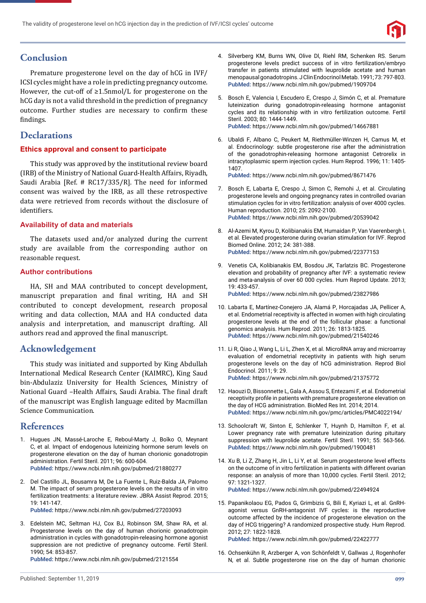

# **Conclusion**

Premature progesterone level on the day of hCG in IVF/ ICSI cycles might have a role in predicting pregnancy outcome. However, the cut-off of ≥1.5nmol/L for progesterone on the hCG day is not a valid threshold in the prediction of pregnancy outcome. Further studies are necessary to confirm these findings.

# **Declarations**

#### **Ethics approval and consent to participate**

This study was approved by the institutional review board (IRB) of the Ministry of National Guard-Health Affairs, Riyadh, Saudi Arabia [Ref. # RC17/335/R]. The need for informed consent was waived by the IRB, as all these retrospective data were retrieved from records without the disclosure of identifiers

#### **Availability of data and materials**

The datasets used and/or analyzed during the current study are available from the corresponding author on reasonable request.

#### **Author contributions**

HA, SH and MAA contributed to concept development, manuscript preparation and final writing, HA and SH contributed to concept development, research proposal writing and data collection, MAA and HA conducted data analysis and interpretation, and manuscript drafting. All authors read and approved the final manuscript.

## **Acknowledgement**

This study was initiated and supported by King Abdullah International Medical Research Center (KAIMRC), King Saud bin-Abdulaziz University for Health Sciences, Ministry of National Guard –Health Affairs, Saudi Arabia. The final draft of the manuscript was English language edited by Macmillan Science Communication.

## **References**

- 1. Hugues JN, Massé-Laroche E, Reboul-Marty J, Boîko O, Meynant C, et al. Impact of endogenous luteinizing hormone serum levels on progesterone elevation on the day of human chorionic gonadotropin administration. Fertil Steril. 2011; 96: 600-604. **PubMed:** https://www.ncbi.nlm.nih.gov/pubmed/21880277
- 2. Del Castillo JL, Bousamra M, De La Fuente L, Ruiz-Balda JA, Palomo M. The impact of serum progesterone levels on the results of in vitro fertilization treatments: a literature review. JBRA Assist Reprod. 2015; 19: 141-147. **PubMed:** https://www.ncbi.nlm.nih.gov/pubmed/27203093
	-
- 3. Edelstein MC, Seltman HJ, Cox BJ, Robinson SM, Shaw RA, et al. Progesterone levels on the day of human chorionic gonadotropin administration in cycles with gonadotropin-releasing hormone agonist suppression are not predictive of pregnancy outcome. Fertil Steril. 1990; 54: 853-857.

**PubMed:** https://www.ncbi.nlm.nih.gov/pubmed/2121554

- 4. Silverberg KM, Burns WN, Olive Dl, Riehl RM, Schenken RS. Serum progesterone levels predict success of in vitro fertilization/embryo transfer in patients stimulated with leuprolide acetate and human menopausal gonadotropins. J Clin Endocrinol Metab. 1991; 73: 797-803. **PubMed:** https://www.ncbi.nlm.nih.gov/pubmed/1909704
- 5. Bosch E, Valencia I, Escudero E, Crespo J, Simón C, et al. Premature luteinization during gonadotropin-releasing hormone antagonist cycles and its relationship with in vitro fertilization outcome. Fertil Steril. 2003; 80: 1444-1449. **PubMed:** https://www.ncbi.nlm.nih.gov/pubmed/14667881
- 6. Ubaldi F, Albano C, Peukert M, Riethmüller-Winzen H, Camus M, et al. Endocrinology: subtle progesterone rise after the administration of the gonadotrophin-releasing hormone antagonist Cetrorelix in intracytoplasmic sperm injection cycles. Hum Reprod. 1996; 11: 1405- 1407.

**PubMed:** https://www.ncbi.nlm.nih.gov/pubmed/8671476

- 7. Bosch E, Labarta E, Crespo J, Simon C, Remohi J, et al. Circulating progesterone levels and ongoing pregnancy rates in controlled ovarian stimulation cycles for in vitro fertilization: analysis of over 4000 cycles. Human reproduction. 2010; 25: 2092-2100. **PubMed:** https://www.ncbi.nlm.nih.gov/pubmed/20539042
- 8. Al-Azemi M, Kyrou D, Kolibianakis EM, Humaidan P, Van Vaerenbergh I, et al. Elevated progesterone during ovarian stimulation for IVF. Reprod Biomed Online. 2012; 24: 381-388. **PubMed:** https://www.ncbi.nlm.nih.gov/pubmed/22377153
- 9. Venetis CA, Kolibianakis EM, Bosdou JK, Tarlatzis BC. Progesterone elevation and probability of pregnancy after IVF: a systematic review and meta-analysis of over 60 000 cycles. Hum Reprod Update. 2013; 19: 433-457.

**PubMed:** https://www.ncbi.nlm.nih.gov/pubmed/23827986

- 10. Labarta E, Martínez-Conejero JA, Alamá P, Horcajadas JA, Pellicer A, et al. Endometrial receptivity is affected in women with high circulating progesterone levels at the end of the follicular phase: a functional genomics analysis. Hum Reprod. 2011; 26: 1813-1825. **PubMed:** https://www.ncbi.nlm.nih.gov/pubmed/21540246
- 11. Li R, Qiao J, Wang L, Li L, Zhen X, et al. MicroRNA array and microarray evaluation of endometrial receptivity in patients with high serum progesterone levels on the day of hCG administration. Reprod Biol Endocrinol. 2011; 9: 29. **PubMed:** https://www.ncbi.nlm.nih.gov/pubmed/21375772
- 12. Haouzi D, Bissonnette L, Gala A, Assou S, Entezami F, et al. Endometrial receptivity profile in patients with premature progesterone elevation on the day of HCG administration. BioMed Res Int. 2014; 2014. **PubMed:** https://www.ncbi.nlm.nih.gov/pmc/articles/PMC4022194/
- 13. Schoolcraft W, Sinton E, Schlenker T, Huynh D, Hamilton F, et al. Lower pregnancy rate with premature luteinization during pituitary suppression with leuprolide acetate. Fertil Steril. 1991; 55: 563-566. **PubMed:** https://www.ncbi.nlm.nih.gov/pubmed/1900481
- 14. Xu B, Li Z, Zhang H, Jin L, Li Y, et al. Serum progesterone level effects on the outcome of in vitro fertilization in patients with different ovarian response: an analysis of more than 10,000 cycles. Fertil Steril. 2012; 97: 1321-1327. **PubMed:** https://www.ncbi.nlm.nih.gov/pubmed/22494924
- 15. Papanikolaou EG, Pados G, Grimbizis G, Bili E, Kyriazi L, et al. GnRHagonist versus GnRH-antagonist IVF cycles: is the reproductive outcome affected by the incidence of progesterone elevation on the day of HCG triggering? A randomized prospective study. Hum Reprod. 2012; 27: 1822-1828.

**PubMed:** https://www.ncbi.nlm.nih.gov/pubmed/22422777

16. Ochsenkühn R, Arzberger A, von Schönfeldt V, Gallwas J, Rogenhofer N, et al. Subtle progesterone rise on the day of human chorionic